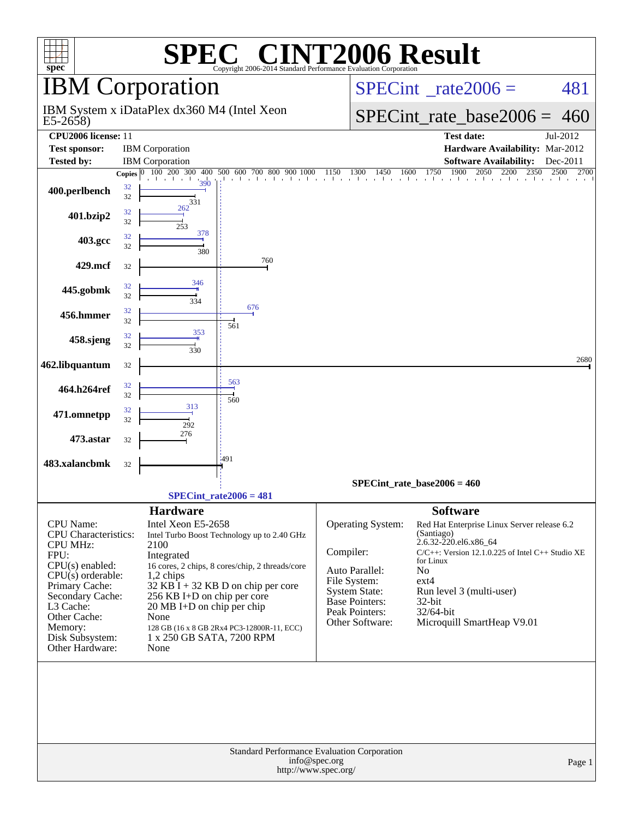| $spec^*$                                                 |          |                             | $\blacksquare$<br>Copyright 2006-2014 Standard Performance Evaluation Corporation |               |                                   | VT2006 Result                                         |              |
|----------------------------------------------------------|----------|-----------------------------|-----------------------------------------------------------------------------------|---------------|-----------------------------------|-------------------------------------------------------|--------------|
|                                                          |          | <b>IBM</b> Corporation      |                                                                                   |               | $SPECint^{\circ}$ rate $2006 =$   | 481                                                   |              |
| IBM System x iDataPlex dx360 M4 (Intel Xeon<br>$E5-2658$ |          |                             |                                                                                   |               |                                   | $SPECint_rate_base2006 =$                             | 460          |
| CPU2006 license: 11                                      |          |                             |                                                                                   |               |                                   | <b>Test date:</b>                                     | Jul-2012     |
| <b>Test sponsor:</b>                                     |          | <b>IBM</b> Corporation      |                                                                                   |               |                                   | Hardware Availability: Mar-2012                       |              |
| <b>Tested by:</b>                                        |          | <b>IBM</b> Corporation      |                                                                                   |               |                                   | <b>Software Availability:</b>                         | Dec-2011     |
|                                                          |          | Copies 0 100 200 300<br>400 | 500 600 700 800 900 1000                                                          | 1150          | 1600<br>1300<br>1450              | 1750<br>1900<br>2050<br>2200<br>2350                  | 2500<br>2700 |
| 400.perlbench                                            | 32<br>32 | 390<br>331                  |                                                                                   |               |                                   |                                                       |              |
| 401.bzip2                                                | 32<br>32 | 262<br>253<br>378           |                                                                                   |               |                                   |                                                       |              |
| 403.gcc                                                  | 32<br>32 | 380                         |                                                                                   |               |                                   |                                                       |              |
| 429.mcf                                                  | 32       |                             | 760                                                                               |               |                                   |                                                       |              |
| 445.gobmk                                                | 32<br>32 | 346<br>334                  |                                                                                   |               |                                   |                                                       |              |
| 456.hmmer                                                | 32<br>32 |                             | 676<br>561                                                                        |               |                                   |                                                       |              |
| 458.sjeng                                                | 32<br>32 | 353<br>330                  |                                                                                   |               |                                   |                                                       |              |
| 462.libquantum                                           | 32       |                             |                                                                                   |               |                                   |                                                       | 2680         |
| 464.h264ref                                              | 32<br>32 |                             | 563<br>560                                                                        |               |                                   |                                                       |              |
| 471.omnetpp                                              | 32<br>32 | 313<br>292                  |                                                                                   |               |                                   |                                                       |              |
| 473.astar                                                | 32       | 276                         |                                                                                   |               |                                   |                                                       |              |
| 483.xalancbmk                                            | 32       |                             | :491                                                                              |               |                                   |                                                       |              |
|                                                          |          |                             |                                                                                   |               |                                   | $SPECint_rate_base2006 = 460$                         |              |
|                                                          |          |                             | $SPECint_rate2006 = 481$                                                          |               |                                   |                                                       |              |
|                                                          |          | <b>Hardware</b>             |                                                                                   |               |                                   | <b>Software</b>                                       |              |
| CPU Name:                                                |          | Intel Xeon E5-2658          |                                                                                   |               | Operating System:                 | Red Hat Enterprise Linux Server release 6.2           |              |
| <b>CPU</b> Characteristics:                              |          |                             | Intel Turbo Boost Technology up to 2.40 GHz                                       |               |                                   | (Santiago)                                            |              |
| <b>CPU MHz:</b>                                          |          | 2100                        |                                                                                   |               |                                   | 2.6.32-220.el6.x86_64                                 |              |
| FPU:                                                     |          | Integrated                  |                                                                                   | Compiler:     |                                   | $C/C++$ : Version 12.1.0.225 of Intel $C++$ Studio XE |              |
| $CPU(s)$ enabled:                                        |          |                             | 16 cores, 2 chips, 8 cores/chip, 2 threads/core                                   |               | Auto Parallel:                    | for Linux<br>N <sub>o</sub>                           |              |
| $CPU(s)$ orderable:                                      |          | $1,2$ chips                 |                                                                                   |               | File System:                      | $ext{4}$                                              |              |
| Primary Cache:<br>Secondary Cache:                       |          | 256 KB I+D on chip per core | 32 KB I + 32 KB D on chip per core                                                |               | <b>System State:</b>              | Run level 3 (multi-user)                              |              |
| L3 Cache:                                                |          | 20 MB I+D on chip per chip  |                                                                                   |               | <b>Base Pointers:</b>             | 32-bit                                                |              |
| Other Cache:                                             |          | None                        |                                                                                   |               | Peak Pointers:<br>Other Software: | 32/64-bit                                             |              |
| Memory:                                                  |          |                             | 128 GB (16 x 8 GB 2Rx4 PC3-12800R-11, ECC)                                        |               |                                   | Microquill SmartHeap V9.01                            |              |
| Disk Subsystem:                                          |          | 1 x 250 GB SATA, 7200 RPM   |                                                                                   |               |                                   |                                                       |              |
| Other Hardware:                                          |          | None                        |                                                                                   |               |                                   |                                                       |              |
|                                                          |          |                             |                                                                                   |               |                                   |                                                       |              |
|                                                          |          |                             | <b>Standard Performance Evaluation Corporation</b><br>http://www.spec.org/        | info@spec.org |                                   |                                                       | Page 1       |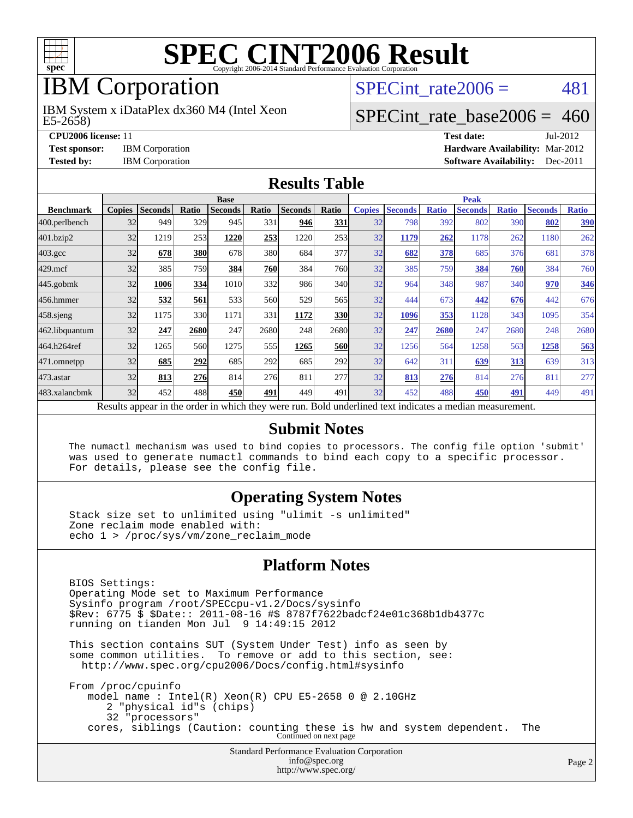

# IBM Corporation

IBM System x iDataPlex dx360 M4 (Intel Xeon

SPECint rate $2006 = 481$ 

# [SPECint\\_rate\\_base2006 =](http://www.spec.org/auto/cpu2006/Docs/result-fields.html#SPECintratebase2006) 460

E5-2658)

**[CPU2006 license:](http://www.spec.org/auto/cpu2006/Docs/result-fields.html#CPU2006license)** 11 **[Test date:](http://www.spec.org/auto/cpu2006/Docs/result-fields.html#Testdate)** Jul-2012 **[Test sponsor:](http://www.spec.org/auto/cpu2006/Docs/result-fields.html#Testsponsor)** IBM Corporation **[Hardware Availability:](http://www.spec.org/auto/cpu2006/Docs/result-fields.html#HardwareAvailability)** Mar-2012 **[Tested by:](http://www.spec.org/auto/cpu2006/Docs/result-fields.html#Testedby)** IBM Corporation **[Software Availability:](http://www.spec.org/auto/cpu2006/Docs/result-fields.html#SoftwareAvailability)** Dec-2011

#### **[Results Table](http://www.spec.org/auto/cpu2006/Docs/result-fields.html#ResultsTable)**

|                                                                                                          | <b>Base</b>   |                |              |                |                 |                |            | <b>Peak</b>   |                |              |                |              |                |              |
|----------------------------------------------------------------------------------------------------------|---------------|----------------|--------------|----------------|-----------------|----------------|------------|---------------|----------------|--------------|----------------|--------------|----------------|--------------|
| <b>Benchmark</b>                                                                                         | <b>Copies</b> | <b>Seconds</b> | <b>Ratio</b> | <b>Seconds</b> | Ratio           | <b>Seconds</b> | Ratio      | <b>Copies</b> | <b>Seconds</b> | <b>Ratio</b> | <b>Seconds</b> | <b>Ratio</b> | <b>Seconds</b> | <b>Ratio</b> |
| 400.perlbench                                                                                            | 32            | 949            | 329          | 945            | 331             | 946            | 331        | 32            | 798            | 392          | 802            | 390          | 802            | 390          |
| 401.bzip2                                                                                                | 32            | 1219           | 253          | 1220           | 253             | 1220           | 253        | 32            | 1179           | 262          | 1178           | 262          | 1180           | 262          |
| $403.\mathrm{gcc}$                                                                                       | 32            | 678            | 380          | 678            | 380             | 684            | 377        | 32            | 682            | 378          | 685            | 376          | 681            | 378          |
| $429$ .mcf                                                                                               | 32            | 385            | 759          | 384            | 760             | 384            | 760I       | 32            | 385            | 759          | 384            | 760          | 384            | 760          |
| $445$ .gobm $k$                                                                                          | 32            | 1006           | 334          | 1010           | 332             | 986            | 340l       | 32            | 964            | 348          | 987            | 340          | 970            | 346          |
| 456.hmmer                                                                                                | 32            | 532            | 561          | 533            | 560             | 529            | 565        | 32            | 444            | 673          | 442            | 676          | 442            | 676          |
| $458$ .sjeng                                                                                             | 32            | 1175           | 330          | 1171           | 331             | 1172           | <b>330</b> | 32            | 1096           | 353          | 1128           | 343          | 1095           | 354          |
| 462.libquantum                                                                                           | 32            | 247            | 2680         | 247            | 2680            | 248            | 2680       | 32            | 247            | 2680         | 247            | 2680         | 248            | 2680         |
| 464.h264ref                                                                                              | 32            | 1265           | 560          | 1275           | 555             | 1265           | <b>560</b> | 32            | 1256           | 564          | 1258           | 563          | 1258           | 563          |
| 471.omnetpp                                                                                              | 32            | 685            | 292          | 685            | 292             | 685            | 292        | 32            | 642            | 311          | 639            | 313          | 639            | 313          |
| $473$ . astar                                                                                            | 32            | 813            | 276          | 814            | 27 <sub>6</sub> | 811            | 277        | 32            | 813            | 276          | 814            | 276          | 811            | 277          |
| 483.xalancbmk                                                                                            | 32            | 452            | 488          | 450            | 491             | 449            | 491        | 32            | 452            | 488          | 450            | 491          | 449            | 491          |
| Results appear in the order in which they were run. Bold underlined text indicates a median measurement. |               |                |              |                |                 |                |            |               |                |              |                |              |                |              |

#### **[Submit Notes](http://www.spec.org/auto/cpu2006/Docs/result-fields.html#SubmitNotes)**

 The numactl mechanism was used to bind copies to processors. The config file option 'submit' was used to generate numactl commands to bind each copy to a specific processor. For details, please see the config file.

#### **[Operating System Notes](http://www.spec.org/auto/cpu2006/Docs/result-fields.html#OperatingSystemNotes)**

 Stack size set to unlimited using "ulimit -s unlimited" Zone reclaim mode enabled with: echo 1 > /proc/sys/vm/zone\_reclaim\_mode

#### **[Platform Notes](http://www.spec.org/auto/cpu2006/Docs/result-fields.html#PlatformNotes)**

Standard Performance Evaluation Corporation BIOS Settings: Operating Mode set to Maximum Performance Sysinfo program /root/SPECcpu-v1.2/Docs/sysinfo \$Rev: 6775 \$ \$Date:: 2011-08-16 #\$ 8787f7622badcf24e01c368b1db4377c running on tianden Mon Jul 9 14:49:15 2012 This section contains SUT (System Under Test) info as seen by some common utilities. To remove or add to this section, see: <http://www.spec.org/cpu2006/Docs/config.html#sysinfo> From /proc/cpuinfo model name : Intel(R) Xeon(R) CPU E5-2658 0 @ 2.10GHz 2 "physical id"s (chips) 32 "processors" cores, siblings (Caution: counting these is hw and system dependent. The Continued on next page

[info@spec.org](mailto:info@spec.org) <http://www.spec.org/>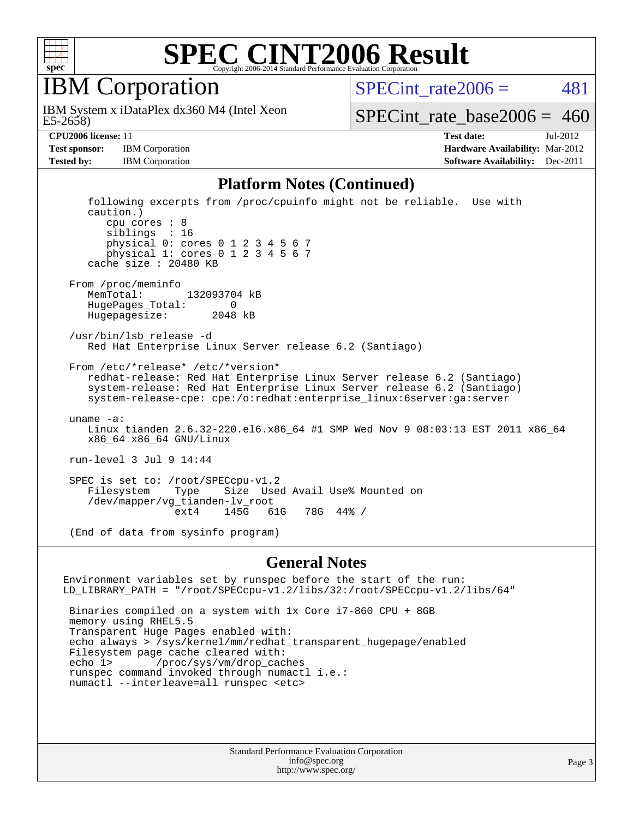

IBM Corporation

E5-2658) IBM System x iDataPlex dx360 M4 (Intel Xeon SPECint rate $2006 = 481$ 

[SPECint\\_rate\\_base2006 =](http://www.spec.org/auto/cpu2006/Docs/result-fields.html#SPECintratebase2006)  $460$ 

**[Tested by:](http://www.spec.org/auto/cpu2006/Docs/result-fields.html#Testedby)** IBM Corporation **IBM** Corporation **[Software Availability:](http://www.spec.org/auto/cpu2006/Docs/result-fields.html#SoftwareAvailability)** Dec-2011

**[CPU2006 license:](http://www.spec.org/auto/cpu2006/Docs/result-fields.html#CPU2006license)** 11 **[Test date:](http://www.spec.org/auto/cpu2006/Docs/result-fields.html#Testdate)** Jul-2012 **[Test sponsor:](http://www.spec.org/auto/cpu2006/Docs/result-fields.html#Testsponsor)** IBM Corporation **[Hardware Availability:](http://www.spec.org/auto/cpu2006/Docs/result-fields.html#HardwareAvailability)** Mar-2012

#### **[Platform Notes \(Continued\)](http://www.spec.org/auto/cpu2006/Docs/result-fields.html#PlatformNotes)**

 following excerpts from /proc/cpuinfo might not be reliable. Use with caution.) cpu cores : 8 siblings : 16 physical 0: cores 0 1 2 3 4 5 6 7 physical 1: cores 0 1 2 3 4 5 6 7 cache size : 20480 KB From /proc/meminfo MemTotal: 132093704 kB HugePages\_Total: 0 Hugepagesize: 2048 kB /usr/bin/lsb\_release -d Red Hat Enterprise Linux Server release 6.2 (Santiago) From /etc/\*release\* /etc/\*version\* redhat-release: Red Hat Enterprise Linux Server release 6.2 (Santiago) system-release: Red Hat Enterprise Linux Server release 6.2 (Santiago) system-release-cpe: cpe:/o:redhat:enterprise\_linux:6server:ga:server uname -a: Linux tianden 2.6.32-220.el6.x86\_64 #1 SMP Wed Nov 9 08:03:13 EST 2011 x86\_64 x86\_64 x86\_64 GNU/Linux run-level 3 Jul 9 14:44 SPEC is set to: /root/SPECcpu-v1.2<br>Filesystem Type Size Use Filesystem Type Size Used Avail Use% Mounted on /dev/mapper/vg\_tianden-lv\_root ext4 145G 61G 78G 44% /

(End of data from sysinfo program)

#### **[General Notes](http://www.spec.org/auto/cpu2006/Docs/result-fields.html#GeneralNotes)**

Environment variables set by runspec before the start of the run: LD\_LIBRARY\_PATH = "/root/SPECcpu-v1.2/libs/32:/root/SPECcpu-v1.2/libs/64" Binaries compiled on a system with 1x Core i7-860 CPU + 8GB memory using RHEL5.5 Transparent Huge Pages enabled with: echo always > /sys/kernel/mm/redhat\_transparent\_hugepage/enabled Filesystem page cache cleared with:<br>echo 1> /proc/sys/vm/drop cac /proc/sys/vm/drop\_caches runspec command invoked through numactl i.e.: numactl --interleave=all runspec <etc>

> Standard Performance Evaluation Corporation [info@spec.org](mailto:info@spec.org) <http://www.spec.org/>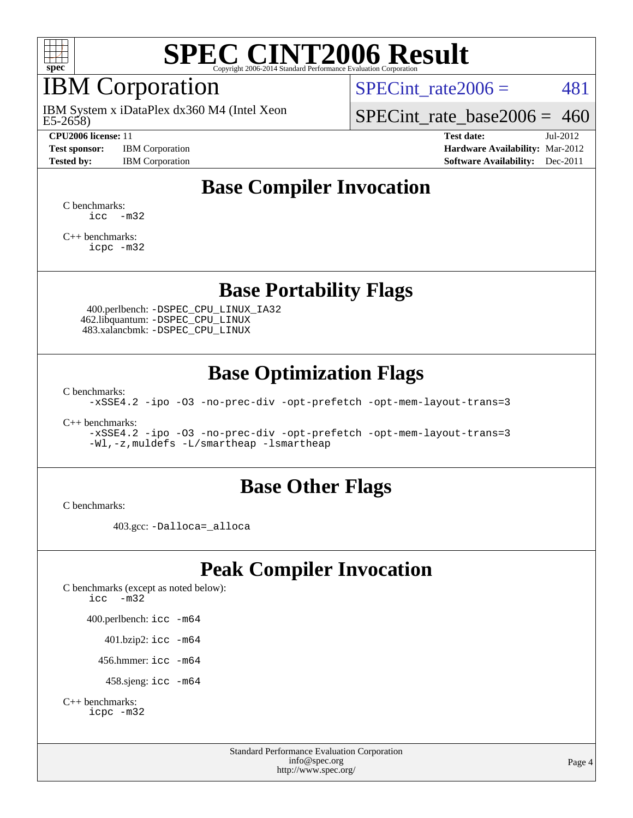

# IBM Corporation

E5-2658) IBM System x iDataPlex dx360 M4 (Intel Xeon

**[Test sponsor:](http://www.spec.org/auto/cpu2006/Docs/result-fields.html#Testsponsor)** IBM Corporation **[Hardware Availability:](http://www.spec.org/auto/cpu2006/Docs/result-fields.html#HardwareAvailability)** Mar-2012

SPECint rate $2006 = 481$ 

[SPECint\\_rate\\_base2006 =](http://www.spec.org/auto/cpu2006/Docs/result-fields.html#SPECintratebase2006) 460

**[CPU2006 license:](http://www.spec.org/auto/cpu2006/Docs/result-fields.html#CPU2006license)** 11 **[Test date:](http://www.spec.org/auto/cpu2006/Docs/result-fields.html#Testdate)** Jul-2012 **[Tested by:](http://www.spec.org/auto/cpu2006/Docs/result-fields.html#Testedby)** IBM Corporation **[Software Availability:](http://www.spec.org/auto/cpu2006/Docs/result-fields.html#SoftwareAvailability)** Dec-2011

### **[Base Compiler Invocation](http://www.spec.org/auto/cpu2006/Docs/result-fields.html#BaseCompilerInvocation)**

[C benchmarks](http://www.spec.org/auto/cpu2006/Docs/result-fields.html#Cbenchmarks):  $\text{icc}$   $-\text{m32}$ 

[C++ benchmarks:](http://www.spec.org/auto/cpu2006/Docs/result-fields.html#CXXbenchmarks) [icpc -m32](http://www.spec.org/cpu2006/results/res2012q3/cpu2006-20120725-23832.flags.html#user_CXXbase_intel_icpc_4e5a5ef1a53fd332b3c49e69c3330699)

### **[Base Portability Flags](http://www.spec.org/auto/cpu2006/Docs/result-fields.html#BasePortabilityFlags)**

 400.perlbench: [-DSPEC\\_CPU\\_LINUX\\_IA32](http://www.spec.org/cpu2006/results/res2012q3/cpu2006-20120725-23832.flags.html#b400.perlbench_baseCPORTABILITY_DSPEC_CPU_LINUX_IA32) 462.libquantum: [-DSPEC\\_CPU\\_LINUX](http://www.spec.org/cpu2006/results/res2012q3/cpu2006-20120725-23832.flags.html#b462.libquantum_baseCPORTABILITY_DSPEC_CPU_LINUX) 483.xalancbmk: [-DSPEC\\_CPU\\_LINUX](http://www.spec.org/cpu2006/results/res2012q3/cpu2006-20120725-23832.flags.html#b483.xalancbmk_baseCXXPORTABILITY_DSPEC_CPU_LINUX)

### **[Base Optimization Flags](http://www.spec.org/auto/cpu2006/Docs/result-fields.html#BaseOptimizationFlags)**

[C benchmarks](http://www.spec.org/auto/cpu2006/Docs/result-fields.html#Cbenchmarks):

[-xSSE4.2](http://www.spec.org/cpu2006/results/res2012q3/cpu2006-20120725-23832.flags.html#user_CCbase_f-xSSE42_f91528193cf0b216347adb8b939d4107) [-ipo](http://www.spec.org/cpu2006/results/res2012q3/cpu2006-20120725-23832.flags.html#user_CCbase_f-ipo) [-O3](http://www.spec.org/cpu2006/results/res2012q3/cpu2006-20120725-23832.flags.html#user_CCbase_f-O3) [-no-prec-div](http://www.spec.org/cpu2006/results/res2012q3/cpu2006-20120725-23832.flags.html#user_CCbase_f-no-prec-div) [-opt-prefetch](http://www.spec.org/cpu2006/results/res2012q3/cpu2006-20120725-23832.flags.html#user_CCbase_f-opt-prefetch) [-opt-mem-layout-trans=3](http://www.spec.org/cpu2006/results/res2012q3/cpu2006-20120725-23832.flags.html#user_CCbase_f-opt-mem-layout-trans_a7b82ad4bd7abf52556d4961a2ae94d5)

[C++ benchmarks:](http://www.spec.org/auto/cpu2006/Docs/result-fields.html#CXXbenchmarks)

[-xSSE4.2](http://www.spec.org/cpu2006/results/res2012q3/cpu2006-20120725-23832.flags.html#user_CXXbase_f-xSSE42_f91528193cf0b216347adb8b939d4107) [-ipo](http://www.spec.org/cpu2006/results/res2012q3/cpu2006-20120725-23832.flags.html#user_CXXbase_f-ipo) [-O3](http://www.spec.org/cpu2006/results/res2012q3/cpu2006-20120725-23832.flags.html#user_CXXbase_f-O3) [-no-prec-div](http://www.spec.org/cpu2006/results/res2012q3/cpu2006-20120725-23832.flags.html#user_CXXbase_f-no-prec-div) [-opt-prefetch](http://www.spec.org/cpu2006/results/res2012q3/cpu2006-20120725-23832.flags.html#user_CXXbase_f-opt-prefetch) [-opt-mem-layout-trans=3](http://www.spec.org/cpu2006/results/res2012q3/cpu2006-20120725-23832.flags.html#user_CXXbase_f-opt-mem-layout-trans_a7b82ad4bd7abf52556d4961a2ae94d5) [-Wl,-z,muldefs](http://www.spec.org/cpu2006/results/res2012q3/cpu2006-20120725-23832.flags.html#user_CXXbase_link_force_multiple1_74079c344b956b9658436fd1b6dd3a8a) [-L/smartheap -lsmartheap](http://www.spec.org/cpu2006/results/res2012q3/cpu2006-20120725-23832.flags.html#user_CXXbase_SmartHeap_7c9e394a5779e1a7fec7c221e123830c)

#### **[Base Other Flags](http://www.spec.org/auto/cpu2006/Docs/result-fields.html#BaseOtherFlags)**

[C benchmarks](http://www.spec.org/auto/cpu2006/Docs/result-fields.html#Cbenchmarks):

403.gcc: [-Dalloca=\\_alloca](http://www.spec.org/cpu2006/results/res2012q3/cpu2006-20120725-23832.flags.html#b403.gcc_baseEXTRA_CFLAGS_Dalloca_be3056838c12de2578596ca5467af7f3)

### **[Peak Compiler Invocation](http://www.spec.org/auto/cpu2006/Docs/result-fields.html#PeakCompilerInvocation)**

[C benchmarks \(except as noted below\)](http://www.spec.org/auto/cpu2006/Docs/result-fields.html#Cbenchmarksexceptasnotedbelow): [icc -m32](http://www.spec.org/cpu2006/results/res2012q3/cpu2006-20120725-23832.flags.html#user_CCpeak_intel_icc_5ff4a39e364c98233615fdd38438c6f2) 400.perlbench: [icc -m64](http://www.spec.org/cpu2006/results/res2012q3/cpu2006-20120725-23832.flags.html#user_peakCCLD400_perlbench_intel_icc_64bit_bda6cc9af1fdbb0edc3795bac97ada53) 401.bzip2: [icc -m64](http://www.spec.org/cpu2006/results/res2012q3/cpu2006-20120725-23832.flags.html#user_peakCCLD401_bzip2_intel_icc_64bit_bda6cc9af1fdbb0edc3795bac97ada53)

456.hmmer: [icc -m64](http://www.spec.org/cpu2006/results/res2012q3/cpu2006-20120725-23832.flags.html#user_peakCCLD456_hmmer_intel_icc_64bit_bda6cc9af1fdbb0edc3795bac97ada53)

458.sjeng: [icc -m64](http://www.spec.org/cpu2006/results/res2012q3/cpu2006-20120725-23832.flags.html#user_peakCCLD458_sjeng_intel_icc_64bit_bda6cc9af1fdbb0edc3795bac97ada53)

```
C++ benchmarks: 
icpc -m32
```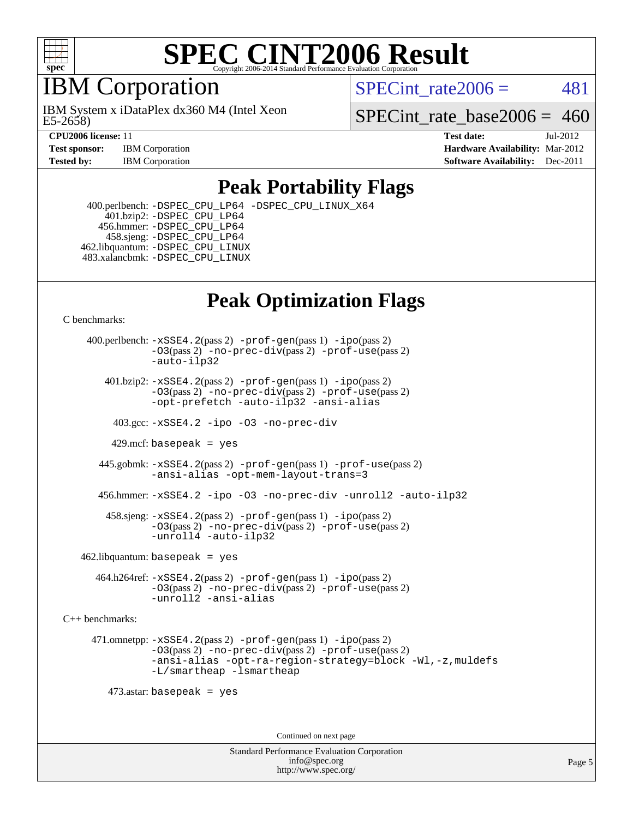

## IBM Corporation

E5-2658) IBM System x iDataPlex dx360 M4 (Intel Xeon SPECint rate $2006 = 481$ 

SPECint rate base2006 =  $460$ 

**[CPU2006 license:](http://www.spec.org/auto/cpu2006/Docs/result-fields.html#CPU2006license)** 11 **[Test date:](http://www.spec.org/auto/cpu2006/Docs/result-fields.html#Testdate)** Jul-2012 **[Test sponsor:](http://www.spec.org/auto/cpu2006/Docs/result-fields.html#Testsponsor)** IBM Corporation **[Hardware Availability:](http://www.spec.org/auto/cpu2006/Docs/result-fields.html#HardwareAvailability)** Mar-2012 **[Tested by:](http://www.spec.org/auto/cpu2006/Docs/result-fields.html#Testedby)** IBM Corporation **[Software Availability:](http://www.spec.org/auto/cpu2006/Docs/result-fields.html#SoftwareAvailability)** Dec-2011

### **[Peak Portability Flags](http://www.spec.org/auto/cpu2006/Docs/result-fields.html#PeakPortabilityFlags)**

 400.perlbench: [-DSPEC\\_CPU\\_LP64](http://www.spec.org/cpu2006/results/res2012q3/cpu2006-20120725-23832.flags.html#b400.perlbench_peakCPORTABILITY_DSPEC_CPU_LP64) [-DSPEC\\_CPU\\_LINUX\\_X64](http://www.spec.org/cpu2006/results/res2012q3/cpu2006-20120725-23832.flags.html#b400.perlbench_peakCPORTABILITY_DSPEC_CPU_LINUX_X64) 401.bzip2: [-DSPEC\\_CPU\\_LP64](http://www.spec.org/cpu2006/results/res2012q3/cpu2006-20120725-23832.flags.html#suite_peakCPORTABILITY401_bzip2_DSPEC_CPU_LP64) 456.hmmer: [-DSPEC\\_CPU\\_LP64](http://www.spec.org/cpu2006/results/res2012q3/cpu2006-20120725-23832.flags.html#suite_peakCPORTABILITY456_hmmer_DSPEC_CPU_LP64) 458.sjeng: [-DSPEC\\_CPU\\_LP64](http://www.spec.org/cpu2006/results/res2012q3/cpu2006-20120725-23832.flags.html#suite_peakCPORTABILITY458_sjeng_DSPEC_CPU_LP64) 462.libquantum: [-DSPEC\\_CPU\\_LINUX](http://www.spec.org/cpu2006/results/res2012q3/cpu2006-20120725-23832.flags.html#b462.libquantum_peakCPORTABILITY_DSPEC_CPU_LINUX) 483.xalancbmk: [-DSPEC\\_CPU\\_LINUX](http://www.spec.org/cpu2006/results/res2012q3/cpu2006-20120725-23832.flags.html#b483.xalancbmk_peakCXXPORTABILITY_DSPEC_CPU_LINUX)

# **[Peak Optimization Flags](http://www.spec.org/auto/cpu2006/Docs/result-fields.html#PeakOptimizationFlags)**

[C benchmarks](http://www.spec.org/auto/cpu2006/Docs/result-fields.html#Cbenchmarks):

 400.perlbench: [-xSSE4.2](http://www.spec.org/cpu2006/results/res2012q3/cpu2006-20120725-23832.flags.html#user_peakPASS2_CFLAGSPASS2_LDCFLAGS400_perlbench_f-xSSE42_f91528193cf0b216347adb8b939d4107)(pass 2) [-prof-gen](http://www.spec.org/cpu2006/results/res2012q3/cpu2006-20120725-23832.flags.html#user_peakPASS1_CFLAGSPASS1_LDCFLAGS400_perlbench_prof_gen_e43856698f6ca7b7e442dfd80e94a8fc)(pass 1) [-ipo](http://www.spec.org/cpu2006/results/res2012q3/cpu2006-20120725-23832.flags.html#user_peakPASS2_CFLAGSPASS2_LDCFLAGS400_perlbench_f-ipo)(pass 2) [-O3](http://www.spec.org/cpu2006/results/res2012q3/cpu2006-20120725-23832.flags.html#user_peakPASS2_CFLAGSPASS2_LDCFLAGS400_perlbench_f-O3)(pass 2) [-no-prec-div](http://www.spec.org/cpu2006/results/res2012q3/cpu2006-20120725-23832.flags.html#user_peakPASS2_CFLAGSPASS2_LDCFLAGS400_perlbench_f-no-prec-div)(pass 2) [-prof-use](http://www.spec.org/cpu2006/results/res2012q3/cpu2006-20120725-23832.flags.html#user_peakPASS2_CFLAGSPASS2_LDCFLAGS400_perlbench_prof_use_bccf7792157ff70d64e32fe3e1250b55)(pass 2) [-auto-ilp32](http://www.spec.org/cpu2006/results/res2012q3/cpu2006-20120725-23832.flags.html#user_peakCOPTIMIZE400_perlbench_f-auto-ilp32)  $401.bzip2: -xSSE4.2(pass 2) -prof-qen(pass 1) -ipo(pass 2)$  $401.bzip2: -xSSE4.2(pass 2) -prof-qen(pass 1) -ipo(pass 2)$  $401.bzip2: -xSSE4.2(pass 2) -prof-qen(pass 1) -ipo(pass 2)$  $401.bzip2: -xSSE4.2(pass 2) -prof-qen(pass 1) -ipo(pass 2)$  $401.bzip2: -xSSE4.2(pass 2) -prof-qen(pass 1) -ipo(pass 2)$ [-O3](http://www.spec.org/cpu2006/results/res2012q3/cpu2006-20120725-23832.flags.html#user_peakPASS2_CFLAGSPASS2_LDCFLAGS401_bzip2_f-O3)(pass 2) [-no-prec-div](http://www.spec.org/cpu2006/results/res2012q3/cpu2006-20120725-23832.flags.html#user_peakPASS2_CFLAGSPASS2_LDCFLAGS401_bzip2_f-no-prec-div)(pass 2) [-prof-use](http://www.spec.org/cpu2006/results/res2012q3/cpu2006-20120725-23832.flags.html#user_peakPASS2_CFLAGSPASS2_LDCFLAGS401_bzip2_prof_use_bccf7792157ff70d64e32fe3e1250b55)(pass 2) [-opt-prefetch](http://www.spec.org/cpu2006/results/res2012q3/cpu2006-20120725-23832.flags.html#user_peakCOPTIMIZE401_bzip2_f-opt-prefetch) [-auto-ilp32](http://www.spec.org/cpu2006/results/res2012q3/cpu2006-20120725-23832.flags.html#user_peakCOPTIMIZE401_bzip2_f-auto-ilp32) [-ansi-alias](http://www.spec.org/cpu2006/results/res2012q3/cpu2006-20120725-23832.flags.html#user_peakCOPTIMIZE401_bzip2_f-ansi-alias) 403.gcc: [-xSSE4.2](http://www.spec.org/cpu2006/results/res2012q3/cpu2006-20120725-23832.flags.html#user_peakCOPTIMIZE403_gcc_f-xSSE42_f91528193cf0b216347adb8b939d4107) [-ipo](http://www.spec.org/cpu2006/results/res2012q3/cpu2006-20120725-23832.flags.html#user_peakCOPTIMIZE403_gcc_f-ipo) [-O3](http://www.spec.org/cpu2006/results/res2012q3/cpu2006-20120725-23832.flags.html#user_peakCOPTIMIZE403_gcc_f-O3) [-no-prec-div](http://www.spec.org/cpu2006/results/res2012q3/cpu2006-20120725-23832.flags.html#user_peakCOPTIMIZE403_gcc_f-no-prec-div) 429.mcf: basepeak = yes 445.gobmk: [-xSSE4.2](http://www.spec.org/cpu2006/results/res2012q3/cpu2006-20120725-23832.flags.html#user_peakPASS2_CFLAGSPASS2_LDCFLAGS445_gobmk_f-xSSE42_f91528193cf0b216347adb8b939d4107)(pass 2) [-prof-gen](http://www.spec.org/cpu2006/results/res2012q3/cpu2006-20120725-23832.flags.html#user_peakPASS1_CFLAGSPASS1_LDCFLAGS445_gobmk_prof_gen_e43856698f6ca7b7e442dfd80e94a8fc)(pass 1) [-prof-use](http://www.spec.org/cpu2006/results/res2012q3/cpu2006-20120725-23832.flags.html#user_peakPASS2_CFLAGSPASS2_LDCFLAGS445_gobmk_prof_use_bccf7792157ff70d64e32fe3e1250b55)(pass 2) [-ansi-alias](http://www.spec.org/cpu2006/results/res2012q3/cpu2006-20120725-23832.flags.html#user_peakCOPTIMIZE445_gobmk_f-ansi-alias) [-opt-mem-layout-trans=3](http://www.spec.org/cpu2006/results/res2012q3/cpu2006-20120725-23832.flags.html#user_peakCOPTIMIZE445_gobmk_f-opt-mem-layout-trans_a7b82ad4bd7abf52556d4961a2ae94d5) 456.hmmer: [-xSSE4.2](http://www.spec.org/cpu2006/results/res2012q3/cpu2006-20120725-23832.flags.html#user_peakCOPTIMIZE456_hmmer_f-xSSE42_f91528193cf0b216347adb8b939d4107) [-ipo](http://www.spec.org/cpu2006/results/res2012q3/cpu2006-20120725-23832.flags.html#user_peakCOPTIMIZE456_hmmer_f-ipo) [-O3](http://www.spec.org/cpu2006/results/res2012q3/cpu2006-20120725-23832.flags.html#user_peakCOPTIMIZE456_hmmer_f-O3) [-no-prec-div](http://www.spec.org/cpu2006/results/res2012q3/cpu2006-20120725-23832.flags.html#user_peakCOPTIMIZE456_hmmer_f-no-prec-div) [-unroll2](http://www.spec.org/cpu2006/results/res2012q3/cpu2006-20120725-23832.flags.html#user_peakCOPTIMIZE456_hmmer_f-unroll_784dae83bebfb236979b41d2422d7ec2) [-auto-ilp32](http://www.spec.org/cpu2006/results/res2012q3/cpu2006-20120725-23832.flags.html#user_peakCOPTIMIZE456_hmmer_f-auto-ilp32) 458.sjeng: [-xSSE4.2](http://www.spec.org/cpu2006/results/res2012q3/cpu2006-20120725-23832.flags.html#user_peakPASS2_CFLAGSPASS2_LDCFLAGS458_sjeng_f-xSSE42_f91528193cf0b216347adb8b939d4107)(pass 2) [-prof-gen](http://www.spec.org/cpu2006/results/res2012q3/cpu2006-20120725-23832.flags.html#user_peakPASS1_CFLAGSPASS1_LDCFLAGS458_sjeng_prof_gen_e43856698f6ca7b7e442dfd80e94a8fc)(pass 1) [-ipo](http://www.spec.org/cpu2006/results/res2012q3/cpu2006-20120725-23832.flags.html#user_peakPASS2_CFLAGSPASS2_LDCFLAGS458_sjeng_f-ipo)(pass 2) [-O3](http://www.spec.org/cpu2006/results/res2012q3/cpu2006-20120725-23832.flags.html#user_peakPASS2_CFLAGSPASS2_LDCFLAGS458_sjeng_f-O3)(pass 2) [-no-prec-div](http://www.spec.org/cpu2006/results/res2012q3/cpu2006-20120725-23832.flags.html#user_peakPASS2_CFLAGSPASS2_LDCFLAGS458_sjeng_f-no-prec-div)(pass 2) [-prof-use](http://www.spec.org/cpu2006/results/res2012q3/cpu2006-20120725-23832.flags.html#user_peakPASS2_CFLAGSPASS2_LDCFLAGS458_sjeng_prof_use_bccf7792157ff70d64e32fe3e1250b55)(pass 2) [-unroll4](http://www.spec.org/cpu2006/results/res2012q3/cpu2006-20120725-23832.flags.html#user_peakCOPTIMIZE458_sjeng_f-unroll_4e5e4ed65b7fd20bdcd365bec371b81f) [-auto-ilp32](http://www.spec.org/cpu2006/results/res2012q3/cpu2006-20120725-23832.flags.html#user_peakCOPTIMIZE458_sjeng_f-auto-ilp32)  $462$ .libquantum: basepeak = yes 464.h264ref: [-xSSE4.2](http://www.spec.org/cpu2006/results/res2012q3/cpu2006-20120725-23832.flags.html#user_peakPASS2_CFLAGSPASS2_LDCFLAGS464_h264ref_f-xSSE42_f91528193cf0b216347adb8b939d4107)(pass 2) [-prof-gen](http://www.spec.org/cpu2006/results/res2012q3/cpu2006-20120725-23832.flags.html#user_peakPASS1_CFLAGSPASS1_LDCFLAGS464_h264ref_prof_gen_e43856698f6ca7b7e442dfd80e94a8fc)(pass 1) [-ipo](http://www.spec.org/cpu2006/results/res2012q3/cpu2006-20120725-23832.flags.html#user_peakPASS2_CFLAGSPASS2_LDCFLAGS464_h264ref_f-ipo)(pass 2) [-O3](http://www.spec.org/cpu2006/results/res2012q3/cpu2006-20120725-23832.flags.html#user_peakPASS2_CFLAGSPASS2_LDCFLAGS464_h264ref_f-O3)(pass 2) [-no-prec-div](http://www.spec.org/cpu2006/results/res2012q3/cpu2006-20120725-23832.flags.html#user_peakPASS2_CFLAGSPASS2_LDCFLAGS464_h264ref_f-no-prec-div)(pass 2) [-prof-use](http://www.spec.org/cpu2006/results/res2012q3/cpu2006-20120725-23832.flags.html#user_peakPASS2_CFLAGSPASS2_LDCFLAGS464_h264ref_prof_use_bccf7792157ff70d64e32fe3e1250b55)(pass 2) [-unroll2](http://www.spec.org/cpu2006/results/res2012q3/cpu2006-20120725-23832.flags.html#user_peakCOPTIMIZE464_h264ref_f-unroll_784dae83bebfb236979b41d2422d7ec2) [-ansi-alias](http://www.spec.org/cpu2006/results/res2012q3/cpu2006-20120725-23832.flags.html#user_peakCOPTIMIZE464_h264ref_f-ansi-alias) [C++ benchmarks:](http://www.spec.org/auto/cpu2006/Docs/result-fields.html#CXXbenchmarks) 471.omnetpp: [-xSSE4.2](http://www.spec.org/cpu2006/results/res2012q3/cpu2006-20120725-23832.flags.html#user_peakPASS2_CXXFLAGSPASS2_LDCXXFLAGS471_omnetpp_f-xSSE42_f91528193cf0b216347adb8b939d4107)(pass 2) [-prof-gen](http://www.spec.org/cpu2006/results/res2012q3/cpu2006-20120725-23832.flags.html#user_peakPASS1_CXXFLAGSPASS1_LDCXXFLAGS471_omnetpp_prof_gen_e43856698f6ca7b7e442dfd80e94a8fc)(pass 1) [-ipo](http://www.spec.org/cpu2006/results/res2012q3/cpu2006-20120725-23832.flags.html#user_peakPASS2_CXXFLAGSPASS2_LDCXXFLAGS471_omnetpp_f-ipo)(pass 2) [-O3](http://www.spec.org/cpu2006/results/res2012q3/cpu2006-20120725-23832.flags.html#user_peakPASS2_CXXFLAGSPASS2_LDCXXFLAGS471_omnetpp_f-O3)(pass 2) [-no-prec-div](http://www.spec.org/cpu2006/results/res2012q3/cpu2006-20120725-23832.flags.html#user_peakPASS2_CXXFLAGSPASS2_LDCXXFLAGS471_omnetpp_f-no-prec-div)(pass 2) [-prof-use](http://www.spec.org/cpu2006/results/res2012q3/cpu2006-20120725-23832.flags.html#user_peakPASS2_CXXFLAGSPASS2_LDCXXFLAGS471_omnetpp_prof_use_bccf7792157ff70d64e32fe3e1250b55)(pass 2) [-ansi-alias](http://www.spec.org/cpu2006/results/res2012q3/cpu2006-20120725-23832.flags.html#user_peakCXXOPTIMIZE471_omnetpp_f-ansi-alias) [-opt-ra-region-strategy=block](http://www.spec.org/cpu2006/results/res2012q3/cpu2006-20120725-23832.flags.html#user_peakCXXOPTIMIZE471_omnetpp_f-opt-ra-region-strategy_a0a37c372d03933b2a18d4af463c1f69) [-Wl,-z,muldefs](http://www.spec.org/cpu2006/results/res2012q3/cpu2006-20120725-23832.flags.html#user_peakEXTRA_LDFLAGS471_omnetpp_link_force_multiple1_74079c344b956b9658436fd1b6dd3a8a) [-L/smartheap -lsmartheap](http://www.spec.org/cpu2006/results/res2012q3/cpu2006-20120725-23832.flags.html#user_peakEXTRA_LIBS471_omnetpp_SmartHeap_7c9e394a5779e1a7fec7c221e123830c) 473.astar: basepeak = yes

Continued on next page

Standard Performance Evaluation Corporation [info@spec.org](mailto:info@spec.org) <http://www.spec.org/>